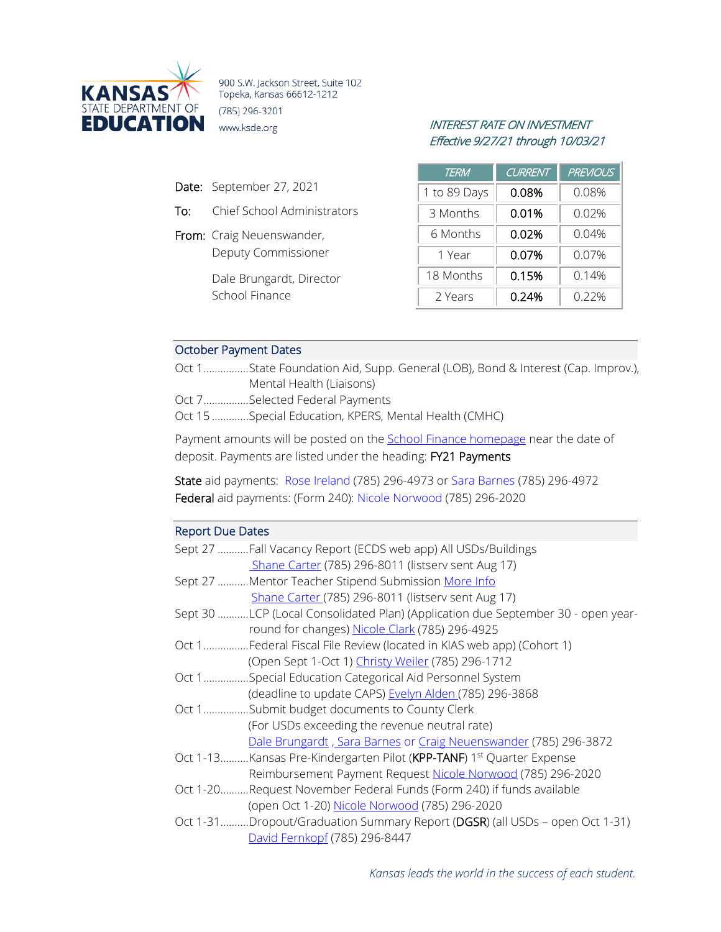

900 S.W. Jackson Street, Suite 102 Topeka, Kansas 66612-1212 (785) 296-3201 **EDUCATION** www.ksde.org *INTEREST RATE ON INVESTMENT* 

- Date: September 27, 2021
- To: Chief School Administrators
- From: Craig Neuenswander, Deputy Commissioner

Dale Brungardt, Director School Finance

# Effective 9/27/21 through 10/03/21

| <b>TERM</b>  | CURRENT | <b>PREVIOUS</b> |
|--------------|---------|-----------------|
| 1 to 89 Days | 0.08%   | 0.08%           |
| 3 Months     | 0.01%   | $0.02\%$        |
| 6 Months     | 0.02%   | 0.04%           |
| 1 Year       | 0.07%   | 0.07%           |
| 18 Months    | 0.15%   | 0.14%           |
| 2 Years      | 0.24%   | 0.22%           |

## October Payment Dates

Oct 1................State Foundation Aid, Supp. General (LOB), Bond & Interest (Cap. Improv.), Mental Health (Liaisons) Oct 7................Selected Federal Payments

Oct 15 .............Special Education, KPERS, Mental Health (CMHC)

Payment amounts will be posted on the [School Finance homepage](http://www.ksde.org/Agency/Fiscal-and-Administrative-Services/School-Finance/Payment-Information) near the date of deposit. Payments are listed under the heading: FY21 Payments

State aid payments: [Rose Ireland](mailto:rireland@ksde.org) (785) 296-4973 or [Sara Barnes](mailto:sbarnes@ksde.org) (785) 296-4972 Federal aid payments: (Form 240): [Nicole Norwood](mailto:nnorwood@ksde.org) (785) 296-2020

### Report Due Dates

|       | Sept 27 Fall Vacancy Report (ECDS web app) All USDs/Buildings                    |
|-------|----------------------------------------------------------------------------------|
|       | Shane Carter (785) 296-8011 (listserv sent Aug 17)                               |
|       | Sept 27 Mentor Teacher Stipend Submission More Info                              |
|       | Shane Carter (785) 296-8011 (listserv sent Aug 17)                               |
|       | Sept 30 LCP (Local Consolidated Plan) (Application due September 30 - open year- |
|       | round for changes) Nicole Clark (785) 296-4925                                   |
|       | Oct 1Federal Fiscal File Review (located in KIAS web app) (Cohort 1)             |
|       | (Open Sept 1-Oct 1) Christy Weiler (785) 296-1712                                |
| Oct 1 | .Special Education Categorical Aid Personnel System                              |
|       | (deadline to update CAPS) Evelyn Alden (785) 296-3868                            |
| Oct 1 | .Submit budget documents to County Clerk                                         |
|       | (For USDs exceeding the revenue neutral rate)                                    |
|       | Dale Brungardt, Sara Barnes or Craig Neuenswander (785) 296-3872                 |
|       | Oct 1-13Kansas Pre-Kindergarten Pilot (KPP-TANF) 1st Quarter Expense             |
|       | Reimbursement Payment Request Nicole Norwood (785) 296-2020                      |
|       | Oct 1-20Request November Federal Funds (Form 240) if funds available             |
|       | (open Oct 1-20) Nicole Norwood (785) 296-2020                                    |
|       | Oct 1-31Dropout/Graduation Summary Report (DGSR) (all USDs - open Oct 1-31)      |
|       | David Fernkopf (785) 296-8447                                                    |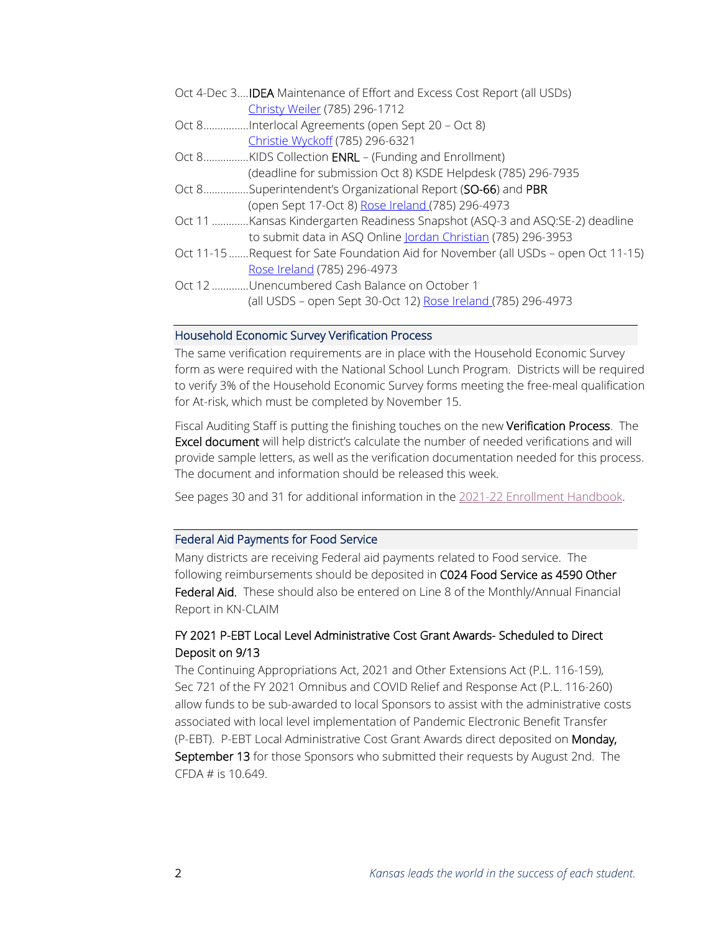| Oct 4-Dec 3 <b>IDEA</b> Maintenance of Effort and Excess Cost Report (all USDs)    |
|------------------------------------------------------------------------------------|
| Christy Weiler (785) 296-1712                                                      |
| Oct 8Interlocal Agreements (open Sept 20 - Oct 8)                                  |
| Christie Wyckoff (785) 296-6321                                                    |
| Oct 8KIDS Collection ENRL - (Funding and Enrollment)                               |
| (deadline for submission Oct 8) KSDE Helpdesk (785) 296-7935                       |
| Oct 8Superintendent's Organizational Report (SO-66) and PBR                        |
| (open Sept 17-Oct 8) Rose Ireland (785) 296-4973                                   |
| Oct 11 Kansas Kindergarten Readiness Snapshot (ASQ-3 and ASQ:SE-2) deadline        |
| to submit data in ASQ Online Jordan Christian (785) 296-3953                       |
| Oct 11-15 Request for Sate Foundation Aid for November (all USDs - open Oct 11-15) |
| Rose Ireland (785) 296-4973                                                        |
| Oct 12 Unencumbered Cash Balance on October 1                                      |
| (all USDS - open Sept 30-Oct 12) Rose Ireland (785) 296-4973                       |

#### Household Economic Survey Verification Process

The same verification requirements are in place with the Household Economic Survey form as were required with the National School Lunch Program. Districts will be required to verify 3% of the Household Economic Survey forms meeting the free-meal qualification for At-risk, which must be completed by November 15.

Fiscal Auditing Staff is putting the finishing touches on the new Verification Process. The Excel document will help district's calculate the number of needed verifications and will provide sample letters, as well as the verification documentation needed for this process. The document and information should be released this week.

See pages 30 and 31 for additional information in the [2021-22 Enrollment Handbook.](https://www.ksde.org/Portals/0/Auditing/Enrollment%20Handbook%20FY22.pdf?ver=2021-09-22-121500-093)

#### Federal Aid Payments for Food Service

Many districts are receiving Federal aid payments related to Food service. The following reimbursements should be deposited in C024 Food Service as 4590 Other Federal Aid. These should also be entered on Line 8 of the Monthly/Annual Financial Report in KN-CLAIM

## FY 2021 P-EBT Local Level Administrative Cost Grant Awards- Scheduled to Direct Deposit on 9/13

The Continuing Appropriations Act, 2021 and Other Extensions Act (P.L. 116-159), Sec 721 of the FY 2021 Omnibus and COVID Relief and Response Act (P.L. 116-260) allow funds to be sub-awarded to local Sponsors to assist with the administrative costs associated with local level implementation of Pandemic Electronic Benefit Transfer (P-EBT). P-EBT Local Administrative Cost Grant Awards direct deposited on Monday, September 13 for those Sponsors who submitted their requests by August 2nd. The CFDA # is 10.649.